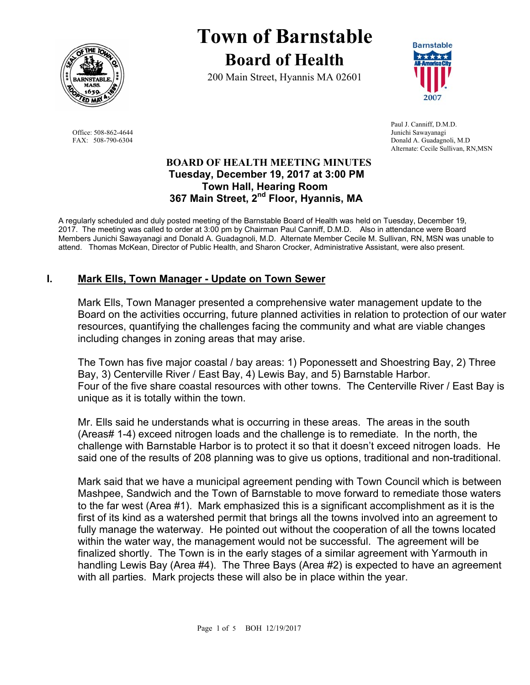

Office: 508-862-4644 Junichi Sawayanagi

# **Town of Barnstable Board of Health**

200 Main Street, Hyannis MA 02601



 Paul J. Canniff, D.M.D. FAX: 508-790-6304 Donald A. Guadagnoli, M.D Alternate: Cecile Sullivan, RN,MSN

### **BOARD OF HEALTH MEETING MINUTES Tuesday, December 19, 2017 at 3:00 PM Town Hall, Hearing Room 367 Main Street, 2nd Floor, Hyannis, MA**

A regularly scheduled and duly posted meeting of the Barnstable Board of Health was held on Tuesday, December 19, 2017. The meeting was called to order at 3:00 pm by Chairman Paul Canniff, D.M.D. Also in attendance were Board Members Junichi Sawayanagi and Donald A. Guadagnoli, M.D. Alternate Member Cecile M. Sullivan, RN, MSN was unable to attend. Thomas McKean, Director of Public Health, and Sharon Crocker, Administrative Assistant, were also present.

# **I. Mark Ells, Town Manager - Update on Town Sewer**

Mark Ells, Town Manager presented a comprehensive water management update to the Board on the activities occurring, future planned activities in relation to protection of our water resources, quantifying the challenges facing the community and what are viable changes including changes in zoning areas that may arise.

The Town has five major coastal / bay areas: 1) Poponessett and Shoestring Bay, 2) Three Bay, 3) Centerville River / East Bay, 4) Lewis Bay, and 5) Barnstable Harbor. Four of the five share coastal resources with other towns. The Centerville River / East Bay is unique as it is totally within the town.

Mr. Ells said he understands what is occurring in these areas. The areas in the south (Areas# 1-4) exceed nitrogen loads and the challenge is to remediate. In the north, the challenge with Barnstable Harbor is to protect it so that it doesn't exceed nitrogen loads. He said one of the results of 208 planning was to give us options, traditional and non-traditional.

Mark said that we have a municipal agreement pending with Town Council which is between Mashpee, Sandwich and the Town of Barnstable to move forward to remediate those waters to the far west (Area #1). Mark emphasized this is a significant accomplishment as it is the first of its kind as a watershed permit that brings all the towns involved into an agreement to fully manage the waterway. He pointed out without the cooperation of all the towns located within the water way, the management would not be successful. The agreement will be finalized shortly. The Town is in the early stages of a similar agreement with Yarmouth in handling Lewis Bay (Area #4). The Three Bays (Area #2) is expected to have an agreement with all parties. Mark projects these will also be in place within the year.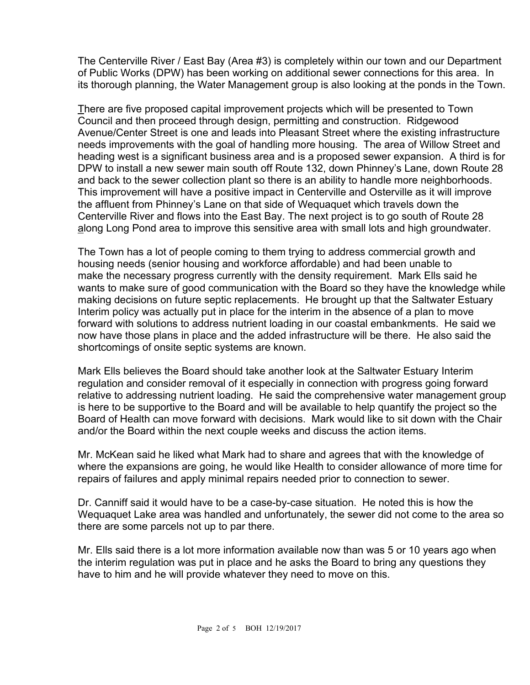The Centerville River / East Bay (Area #3) is completely within our town and our Department of Public Works (DPW) has been working on additional sewer connections for this area. In its thorough planning, the Water Management group is also looking at the ponds in the Town.

There are five proposed capital improvement projects which will be presented to Town Council and then proceed through design, permitting and construction. Ridgewood Avenue/Center Street is one and leads into Pleasant Street where the existing infrastructure needs improvements with the goal of handling more housing. The area of Willow Street and heading west is a significant business area and is a proposed sewer expansion. A third is for DPW to install a new sewer main south off Route 132, down Phinney's Lane, down Route 28 and back to the sewer collection plant so there is an ability to handle more neighborhoods. This improvement will have a positive impact in Centerville and Osterville as it will improve the affluent from Phinney's Lane on that side of Wequaquet which travels down the Centerville River and flows into the East Bay. The next project is to go south of Route 28 along Long Pond area to improve this sensitive area with small lots and high groundwater.

The Town has a lot of people coming to them trying to address commercial growth and housing needs (senior housing and workforce affordable) and had been unable to make the necessary progress currently with the density requirement. Mark Ells said he wants to make sure of good communication with the Board so they have the knowledge while making decisions on future septic replacements. He brought up that the Saltwater Estuary Interim policy was actually put in place for the interim in the absence of a plan to move forward with solutions to address nutrient loading in our coastal embankments. He said we now have those plans in place and the added infrastructure will be there. He also said the shortcomings of onsite septic systems are known.

Mark Ells believes the Board should take another look at the Saltwater Estuary Interim regulation and consider removal of it especially in connection with progress going forward relative to addressing nutrient loading. He said the comprehensive water management group is here to be supportive to the Board and will be available to help quantify the project so the Board of Health can move forward with decisions. Mark would like to sit down with the Chair and/or the Board within the next couple weeks and discuss the action items.

Mr. McKean said he liked what Mark had to share and agrees that with the knowledge of where the expansions are going, he would like Health to consider allowance of more time for repairs of failures and apply minimal repairs needed prior to connection to sewer.

Dr. Canniff said it would have to be a case-by-case situation. He noted this is how the Wequaquet Lake area was handled and unfortunately, the sewer did not come to the area so there are some parcels not up to par there.

Mr. Ells said there is a lot more information available now than was 5 or 10 years ago when the interim regulation was put in place and he asks the Board to bring any questions they have to him and he will provide whatever they need to move on this.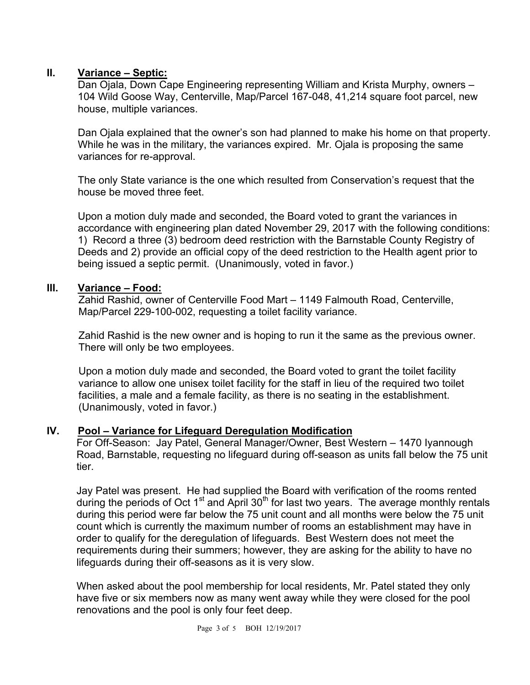# **II. Variance – Septic:**

Dan Ojala, Down Cape Engineering representing William and Krista Murphy, owners – 104 Wild Goose Way, Centerville, Map/Parcel 167-048, 41,214 square foot parcel, new house, multiple variances.

Dan Ojala explained that the owner's son had planned to make his home on that property. While he was in the military, the variances expired. Mr. Ojala is proposing the same variances for re-approval.

The only State variance is the one which resulted from Conservation's request that the house be moved three feet.

Upon a motion duly made and seconded, the Board voted to grant the variances in accordance with engineering plan dated November 29, 2017 with the following conditions: 1) Record a three (3) bedroom deed restriction with the Barnstable County Registry of Deeds and 2) provide an official copy of the deed restriction to the Health agent prior to being issued a septic permit. (Unanimously, voted in favor.)

### **III. Variance – Food:**

Zahid Rashid, owner of Centerville Food Mart – 1149 Falmouth Road, Centerville, Map/Parcel 229-100-002, requesting a toilet facility variance.

Zahid Rashid is the new owner and is hoping to run it the same as the previous owner. There will only be two employees.

Upon a motion duly made and seconded, the Board voted to grant the toilet facility variance to allow one unisex toilet facility for the staff in lieu of the required two toilet facilities, a male and a female facility, as there is no seating in the establishment. (Unanimously, voted in favor.)

### **IV. Pool – Variance for Lifeguard Deregulation Modification**

For Off-Season: Jay Patel, General Manager/Owner, Best Western – 1470 Iyannough Road, Barnstable, requesting no lifeguard during off-season as units fall below the 75 unit tier.

Jay Patel was present. He had supplied the Board with verification of the rooms rented during the periods of Oct  $1<sup>st</sup>$  and April 30<sup>th</sup> for last two years. The average monthly rentals during this period were far below the 75 unit count and all months were below the 75 unit count which is currently the maximum number of rooms an establishment may have in order to qualify for the deregulation of lifeguards. Best Western does not meet the requirements during their summers; however, they are asking for the ability to have no lifeguards during their off-seasons as it is very slow.

When asked about the pool membership for local residents, Mr. Patel stated they only have five or six members now as many went away while they were closed for the pool renovations and the pool is only four feet deep.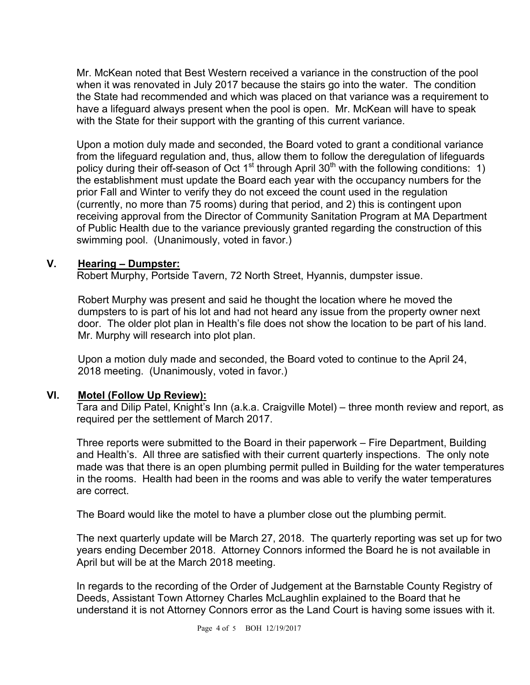Mr. McKean noted that Best Western received a variance in the construction of the pool when it was renovated in July 2017 because the stairs go into the water. The condition the State had recommended and which was placed on that variance was a requirement to have a lifeguard always present when the pool is open. Mr. McKean will have to speak with the State for their support with the granting of this current variance.

Upon a motion duly made and seconded, the Board voted to grant a conditional variance from the lifeguard regulation and, thus, allow them to follow the deregulation of lifeguards policy during their off-season of Oct  $1<sup>st</sup>$  through April 30<sup>th</sup> with the following conditions: 1) the establishment must update the Board each year with the occupancy numbers for the prior Fall and Winter to verify they do not exceed the count used in the regulation (currently, no more than 75 rooms) during that period, and 2) this is contingent upon receiving approval from the Director of Community Sanitation Program at MA Department of Public Health due to the variance previously granted regarding the construction of this swimming pool. (Unanimously, voted in favor.)

### **V. Hearing – Dumpster:**

Robert Murphy, Portside Tavern, 72 North Street, Hyannis, dumpster issue.

Robert Murphy was present and said he thought the location where he moved the dumpsters to is part of his lot and had not heard any issue from the property owner next door. The older plot plan in Health's file does not show the location to be part of his land. Mr. Murphy will research into plot plan.

Upon a motion duly made and seconded, the Board voted to continue to the April 24, 2018 meeting. (Unanimously, voted in favor.)

### **VI. Motel (Follow Up Review):**

Tara and Dilip Patel, Knight's Inn (a.k.a. Craigville Motel) – three month review and report, as required per the settlement of March 2017.

Three reports were submitted to the Board in their paperwork – Fire Department, Building and Health's. All three are satisfied with their current quarterly inspections. The only note made was that there is an open plumbing permit pulled in Building for the water temperatures in the rooms. Health had been in the rooms and was able to verify the water temperatures are correct.

The Board would like the motel to have a plumber close out the plumbing permit.

The next quarterly update will be March 27, 2018. The quarterly reporting was set up for two years ending December 2018. Attorney Connors informed the Board he is not available in April but will be at the March 2018 meeting.

In regards to the recording of the Order of Judgement at the Barnstable County Registry of Deeds, Assistant Town Attorney Charles McLaughlin explained to the Board that he understand it is not Attorney Connors error as the Land Court is having some issues with it.